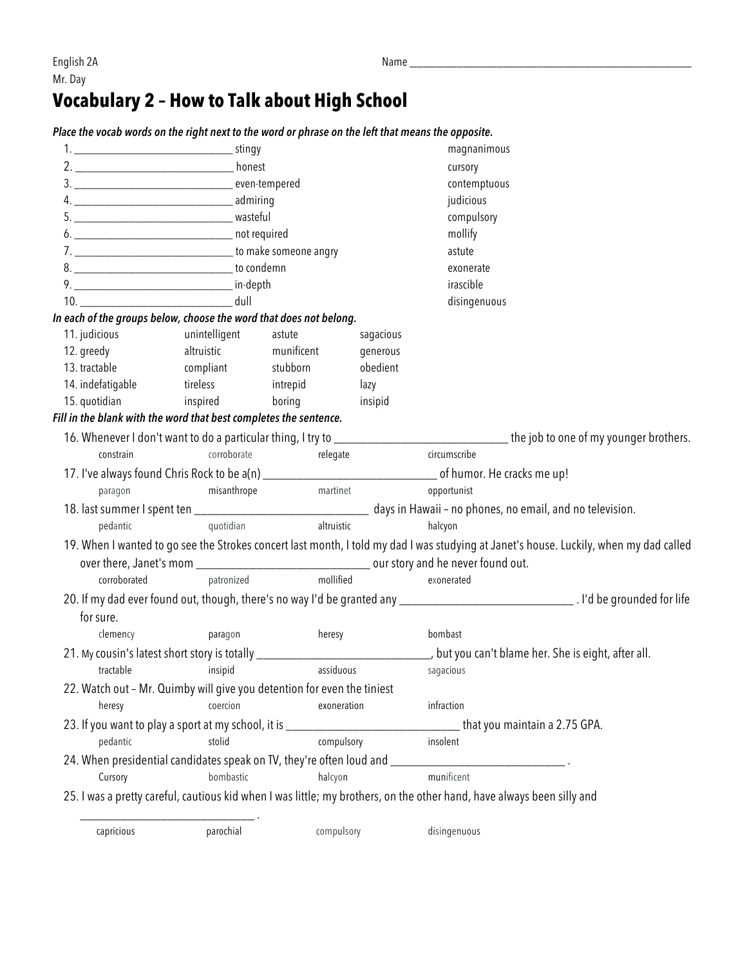## **Vocabulary 2 – How to Talk about High School**

| Place the vocab words on the right next to the word or phrase on the left that means the opposite.                                                                                                                              |                       |                      |              |           |                                                                                                                                        |
|---------------------------------------------------------------------------------------------------------------------------------------------------------------------------------------------------------------------------------|-----------------------|----------------------|--------------|-----------|----------------------------------------------------------------------------------------------------------------------------------------|
|                                                                                                                                                                                                                                 |                       |                      |              |           | magnanimous                                                                                                                            |
|                                                                                                                                                                                                                                 |                       |                      |              |           | cursory                                                                                                                                |
|                                                                                                                                                                                                                                 |                       |                      | contemptuous |           |                                                                                                                                        |
|                                                                                                                                                                                                                                 |                       |                      | judicious    |           |                                                                                                                                        |
|                                                                                                                                                                                                                                 |                       |                      | compulsory   |           |                                                                                                                                        |
|                                                                                                                                                                                                                                 |                       |                      | mollify      |           |                                                                                                                                        |
|                                                                                                                                                                                                                                 |                       |                      |              |           | astute                                                                                                                                 |
|                                                                                                                                                                                                                                 |                       |                      |              |           | exonerate                                                                                                                              |
|                                                                                                                                                                                                                                 |                       |                      |              |           | irascible                                                                                                                              |
|                                                                                                                                                                                                                                 |                       |                      |              |           | disingenuous                                                                                                                           |
| In each of the groups below, choose the word that does not belong.                                                                                                                                                              |                       |                      |              |           |                                                                                                                                        |
| 11. judicious unintelligent                                                                                                                                                                                                     |                       | astute               |              | sagacious |                                                                                                                                        |
| 12. greedy                                                                                                                                                                                                                      | altruistic munificent |                      |              | generous  |                                                                                                                                        |
| 13. tractable compliant stubborn                                                                                                                                                                                                |                       |                      |              | obedient  |                                                                                                                                        |
| 14. indefatigable tireless intrepid                                                                                                                                                                                             |                       |                      |              | lazy      |                                                                                                                                        |
| 15. quotidian inspired                                                                                                                                                                                                          |                       | boring               |              | insipid   |                                                                                                                                        |
| Fill in the blank with the word that best completes the sentence.                                                                                                                                                               |                       |                      |              |           |                                                                                                                                        |
|                                                                                                                                                                                                                                 |                       |                      |              |           | 16. Whenever I don't want to do a particular thing, I try to _________________________________the job to one of my younger brothers.   |
| constrain                                                                                                                                                                                                                       |                       | corroborate relegate |              |           | circumscribe                                                                                                                           |
|                                                                                                                                                                                                                                 |                       |                      |              |           |                                                                                                                                        |
| paragon                                                                                                                                                                                                                         | misanthrope           | martinet             |              |           | opportunist                                                                                                                            |
|                                                                                                                                                                                                                                 |                       |                      |              |           |                                                                                                                                        |
| pedantic and the set of the set of the set of the set of the set of the set of the set of the set of the set of the set of the set of the set of the set of the set of the set of the set of the set of the set of the set of t | quotidian             |                      | altruistic   |           | halcyon                                                                                                                                |
|                                                                                                                                                                                                                                 |                       |                      |              |           | 19. When I wanted to go see the Strokes concert last month, I told my dad I was studying at Janet's house. Luckily, when my dad called |
|                                                                                                                                                                                                                                 |                       |                      |              |           |                                                                                                                                        |
| corroborated                                                                                                                                                                                                                    | patronized mollified  |                      |              |           | exonerated                                                                                                                             |
|                                                                                                                                                                                                                                 |                       |                      |              |           |                                                                                                                                        |
| for sure.                                                                                                                                                                                                                       |                       |                      |              |           |                                                                                                                                        |
| clemency                                                                                                                                                                                                                        |                       |                      | heresy       |           | bombast                                                                                                                                |
|                                                                                                                                                                                                                                 | paragon               |                      |              |           |                                                                                                                                        |
|                                                                                                                                                                                                                                 |                       |                      |              |           | 21. My cousin's latest short story is totally _________________________________, but you can't blame her. She is eight, after all.     |
| tractable                                                                                                                                                                                                                       | insipid               |                      | assiduous    |           | sagacious                                                                                                                              |
| 22. Watch out - Mr. Quimby will give you detention for even the tiniest                                                                                                                                                         |                       |                      |              |           |                                                                                                                                        |
| heresy                                                                                                                                                                                                                          | coercion              |                      | exoneration  |           | infraction                                                                                                                             |
|                                                                                                                                                                                                                                 |                       |                      |              |           |                                                                                                                                        |
| pedantic                                                                                                                                                                                                                        | stolid                |                      | compulsory   |           | insolent                                                                                                                               |
|                                                                                                                                                                                                                                 |                       |                      |              |           |                                                                                                                                        |
| Cursory                                                                                                                                                                                                                         | bombastic             |                      | halcyon      |           | munificent                                                                                                                             |
|                                                                                                                                                                                                                                 |                       |                      |              |           | 25. I was a pretty careful, cautious kid when I was little; my brothers, on the other hand, have always been silly and                 |
|                                                                                                                                                                                                                                 |                       |                      |              |           |                                                                                                                                        |
| capricious                                                                                                                                                                                                                      | parochial             |                      | compulsory   |           | disingenuous                                                                                                                           |
|                                                                                                                                                                                                                                 |                       |                      |              |           |                                                                                                                                        |